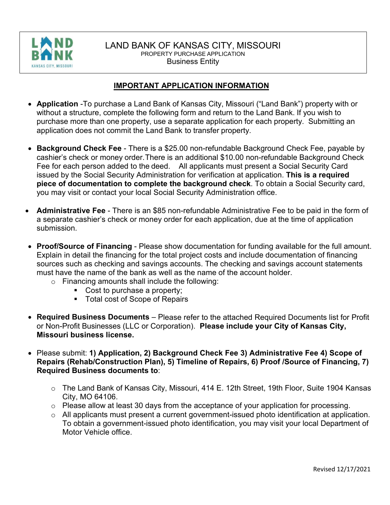

#### LAND BANK OF KANSAS CITY, MISSOURI PROPERTY PURCHASE APPLICATION Business Entity

#### **IMPORTANT APPLICATION INFORMATION**

- **Application** -To purchase a Land Bank of Kansas City, Missouri ("Land Bank") property with or without a structure, complete the following form and return to the Land Bank. If you wish to purchase more than one property, use a separate application for each property. Submitting an application does not commit the Land Bank to transfer property.
- **Background Check Fee** There is a \$25.00 non-refundable Background Check Fee, payable by cashier's check or money order. There is an additional \$10.00 non-refundable Background Check Fee for each person added to the deed. All applicants must present a Social Security Card issued by the Social Security Administration for verification at application. **This is a required piece of documentation to complete the background check**. To obtain a Social Security card, you may visit or contact your local Social Security Administration office.
- **Administrative Fee** There is an \$85 non-refundable Administrative Fee to be paid in the form of a separate cashier's check or money order for each application, due at the time of application submission.
- **Proof/Source of Financing** Please show documentation for funding available for the full amount. Explain in detail the financing for the total project costs and include documentation of financing sources such as checking and savings accounts. The checking and savings account statements must have the name of the bank as well as the name of the account holder.
	- o Financing amounts shall include the following:
		- Cost to purchase a property;
		- **Total cost of Scope of Repairs**
- **Required Business Documents** Please refer to the attached Required Documents list for Profit or Non-Profit Businesses (LLC or Corporation). **Please include your City of Kansas City, Missouri business license.**
- Please submit: **1) Application, 2) Background Check Fee 3) Administrative Fee 4) Scope of Repairs (Rehab/Construction Plan), 5) Timeline of Repairs, 6) Proof /Source of Financing, 7) Required Business documents to**:
	- o The Land Bank of Kansas City, Missouri, 414 E. 12th Street, 19th Floor, Suite 1904 Kansas City, MO 64106.
	- o Please allow at least 30 days from the acceptance of your application for processing.
	- o All applicants must present a current government-issued photo identification at application. To obtain a government-issued photo identification, you may visit your local Department of Motor Vehicle office.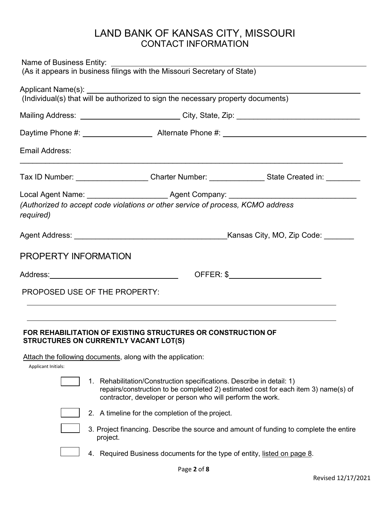# LAND BANK OF KANSAS CITY, MISSOURI CONTACT INFORMATION

| Name of Business Entity: <u>Illian business with the Missouri Secretary of State)</u><br>(As it appears in business filings with the Missouri Secretary of State)                                                              |                                                                                                                                                                                                                           |  |  |  |
|--------------------------------------------------------------------------------------------------------------------------------------------------------------------------------------------------------------------------------|---------------------------------------------------------------------------------------------------------------------------------------------------------------------------------------------------------------------------|--|--|--|
|                                                                                                                                                                                                                                |                                                                                                                                                                                                                           |  |  |  |
|                                                                                                                                                                                                                                | Mailing Address: ___________________________City, State, Zip: ___________________                                                                                                                                         |  |  |  |
|                                                                                                                                                                                                                                |                                                                                                                                                                                                                           |  |  |  |
| Email Address:                                                                                                                                                                                                                 |                                                                                                                                                                                                                           |  |  |  |
|                                                                                                                                                                                                                                | Tax ID Number: ______________________Charter Number: _______________State Created in: _________                                                                                                                           |  |  |  |
| required)                                                                                                                                                                                                                      | (Authorized to accept code violations or other service of process, KCMO address                                                                                                                                           |  |  |  |
|                                                                                                                                                                                                                                |                                                                                                                                                                                                                           |  |  |  |
| <b>PROPERTY INFORMATION</b>                                                                                                                                                                                                    |                                                                                                                                                                                                                           |  |  |  |
| Address: No. 1996. Address: No. 1997. In the United States of the United States of the United States of the United States of the United States of the United States of the United States of the United States of the United St |                                                                                                                                                                                                                           |  |  |  |
| PROPOSED USE OF THE PROPERTY:                                                                                                                                                                                                  |                                                                                                                                                                                                                           |  |  |  |
| STRUCTURES ON CURRENTLY VACANT LOT(S)                                                                                                                                                                                          | <b>FOR REHABILITATION OF EXISTING STRUCTURES OR CONSTRUCTION OF</b>                                                                                                                                                       |  |  |  |
| Applicant Initials:                                                                                                                                                                                                            | Attach the following documents, along with the application:                                                                                                                                                               |  |  |  |
|                                                                                                                                                                                                                                | 1. Rehabilitation/Construction specifications. Describe in detail: 1)<br>repairs/construction to be completed 2) estimated cost for each item 3) name(s) of<br>contractor, developer or person who will perform the work. |  |  |  |
|                                                                                                                                                                                                                                | 2. A timeline for the completion of the project.                                                                                                                                                                          |  |  |  |
|                                                                                                                                                                                                                                | 3. Project financing. Describe the source and amount of funding to complete the entire<br>project.                                                                                                                        |  |  |  |
|                                                                                                                                                                                                                                | 4. Required Business documents for the type of entity, listed on page 8.                                                                                                                                                  |  |  |  |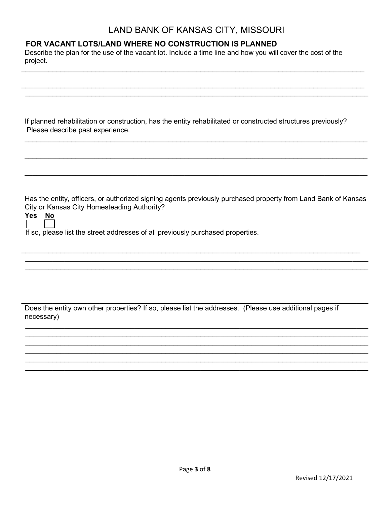### LAND BANK OF KANSAS CITY, MISSOURI

### FOR VACANT LOTS/LAND WHERE NO CONSTRUCTION IS PLANNED

Describe the plan for the use of the vacant lot. Include a time line and how you will cover the cost of the project.

If planned rehabilitation or construction, has the entity rehabilitated or constructed structures previously? Please describe past experience.

Has the entity, officers, or authorized signing agents previously purchased property from Land Bank of Kansas City or Kansas City Homesteading Authority?

| ۷<br>c<br>2 | п<br>м |
|-------------|--------|
|             |        |

If so, please list the street addresses of all previously purchased properties.

Does the entity own other properties? If so, please list the addresses. (Please use additional pages if necessary)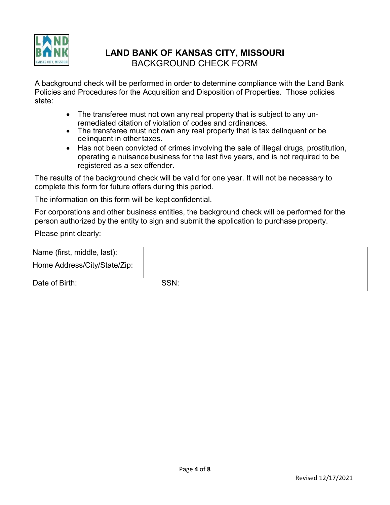

# L**AND BANK OF KANSAS CITY, MISSOURI** BACKGROUND CHECK FORM

A background check will be performed in order to determine compliance with the Land Bank Policies and Procedures for the Acquisition and Disposition of Properties. Those policies state:

- The transferee must not own any real property that is subject to any unremediated citation of violation of codes and ordinances.
- The transferee must not own any real property that is tax delinguent or be delinquent in other taxes.
- Has not been convicted of crimes involving the sale of illegal drugs, prostitution, operating a nuisancebusiness for the last five years, and is not required to be registered as a sex offender.

The results of the background check will be valid for one year. It will not be necessary to complete this form for future offers during this period.

The information on this form will be kept confidential.

For corporations and other business entities, the background check will be performed for the person authorized by the entity to sign and submit the application to purchase property.

Please print clearly:

| Name (first, middle, last):  |      |  |
|------------------------------|------|--|
| Home Address/City/State/Zip: |      |  |
| Date of Birth:               | SSN: |  |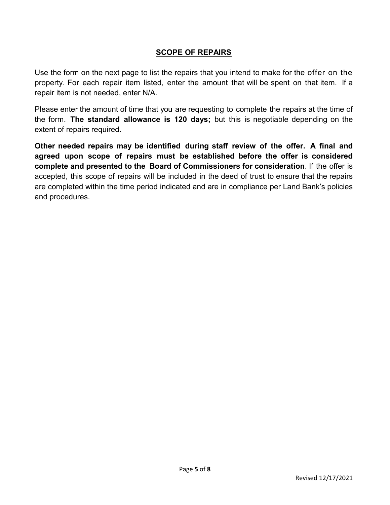#### **SCOPE OF REPAIRS**

Use the form on the next page to list the repairs that you intend to make for the offer on the property. For each repair item listed, enter the amount that will be spent on that item. If a repair item is not needed, enter N/A.

Please enter the amount of time that you are requesting to complete the repairs at the time of the form. **The standard allowance is 120 days;** but this is negotiable depending on the extent of repairs required.

**Other needed repairs may be identified during staff review of the offer. A final and agreed upon scope of repairs must be established before the offer is considered complete and presented to the Board of Commissioners for consideration**. If the offer is accepted, this scope of repairs will be included in the deed of trust to ensure that the repairs are completed within the time period indicated and are in compliance per Land Bank's policies and procedures.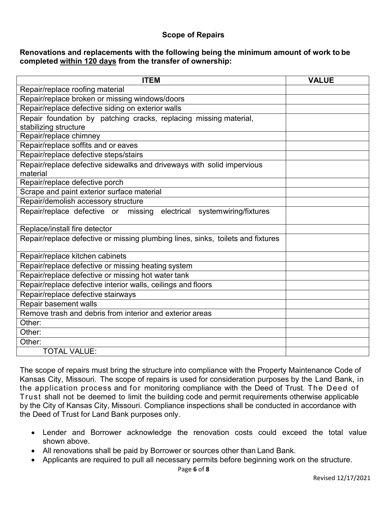#### **Scope of Repairs**

#### **Renovations and replacements with the following being the minimum amount of work to be completed within 120 days from the transfer of ownership:**

| <b>ITEM</b>                                                                     | <b>VALUE</b> |
|---------------------------------------------------------------------------------|--------------|
| Repair/replace roofing material                                                 |              |
| Repair/replace broken or missing windows/doors                                  |              |
| Repair/replace defective siding on exterior walls                               |              |
| Repair foundation by patching cracks, replacing missing material,               |              |
| stabilizing structure                                                           |              |
| Repair/replace chimney                                                          |              |
| Repair/replace soffits and or eaves                                             |              |
| Repair/replace defective steps/stairs                                           |              |
| Repair/replace defective sidewalks and driveways with solid impervious          |              |
| material                                                                        |              |
| Repair/replace defective porch                                                  |              |
| Scrape and paint exterior surface material                                      |              |
| Repair/demolish accessory structure                                             |              |
| Repair/replace defective or missing<br>electrical systemwiring/fixtures         |              |
| Replace/install fire detector                                                   |              |
| Repair/replace defective or missing plumbing lines, sinks, toilets and fixtures |              |
| Repair/replace kitchen cabinets                                                 |              |
| Repair/replace defective or missing heating system                              |              |
| Repair/replace defective or missing hot water tank                              |              |
| Repair/replace defective interior walls, ceilings and floors                    |              |
| Repair/replace defective stairways                                              |              |
| Repair basement walls                                                           |              |
| Remove trash and debris from interior and exterior areas                        |              |
| Other:                                                                          |              |
| Other:                                                                          |              |
| Other:                                                                          |              |
| <b>TOTAL VALUE:</b>                                                             |              |

The scope of repairs must bring the structure into compliance with the Property Maintenance Code of Kansas City, Missouri. The scope of repairs is used for consideration purposes by the Land Bank, in the application process and for monitoring compliance with the Deed of Trust. The Deed of Trust shall not be deemed to limit the building code and permit requirements otherwise applicable by the City of Kansas City, Missouri. Compliance inspections shall be conducted in accordance with the Deed of Trust for Land Bank purposes only.

- Lender and Borrower acknowledge the renovation costs could exceed the total value shown above.
- All renovations shall be paid by Borrower or sources other than Land Bank.
- Applicants are required to pull all necessary permits before beginning work on the structure.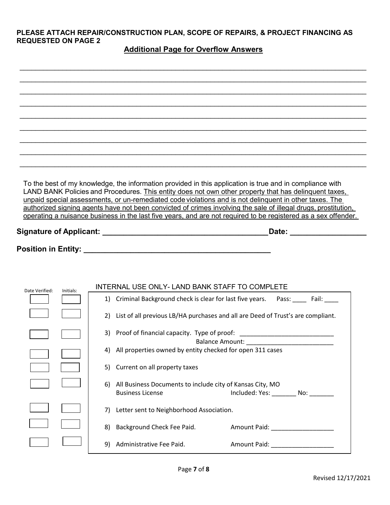#### **PLEASE ATTACH REPAIR/CONSTRUCTION PLAN, SCOPE OF REPAIRS, & PROJECT FINANCING AS REQUESTED ON PAGE 2**

#### **Additional Page for Overflow Answers**

|                |           |                                                | To the best of my knowledge, the information provided in this application is true and in compliance with<br>LAND BANK Policies and Procedures. This entity does not own other property that has delinguent taxes.<br>unpaid special assessments, or un-remediated code violations and is not delinguent in other taxes. The<br>authorized signing agents have not been convicted of crimes involving the sale of illegal drugs, prostitution,<br>operating a nuisance business in the last five years, and are not required to be registered as a sex offender.<br>Date: _______ |
|----------------|-----------|------------------------------------------------|----------------------------------------------------------------------------------------------------------------------------------------------------------------------------------------------------------------------------------------------------------------------------------------------------------------------------------------------------------------------------------------------------------------------------------------------------------------------------------------------------------------------------------------------------------------------------------|
|                |           |                                                |                                                                                                                                                                                                                                                                                                                                                                                                                                                                                                                                                                                  |
|                |           |                                                |                                                                                                                                                                                                                                                                                                                                                                                                                                                                                                                                                                                  |
| Date Verified: | Initials: |                                                | INTERNAL USE ONLY-LAND BANK STAFF TO COMPLETE                                                                                                                                                                                                                                                                                                                                                                                                                                                                                                                                    |
|                |           |                                                | 1) Criminal Background check is clear for last five years.  Pass: Fail: 1                                                                                                                                                                                                                                                                                                                                                                                                                                                                                                        |
|                |           |                                                | 2) List of all previous LB/HA purchases and all are Deed of Trust's are compliant.                                                                                                                                                                                                                                                                                                                                                                                                                                                                                               |
|                |           |                                                | 3) Proof of financial capacity. Type of proof: _________________________________                                                                                                                                                                                                                                                                                                                                                                                                                                                                                                 |
|                |           |                                                | 4) All properties owned by entity checked for open 311 cases                                                                                                                                                                                                                                                                                                                                                                                                                                                                                                                     |
|                |           | 5) Current on all property taxes               |                                                                                                                                                                                                                                                                                                                                                                                                                                                                                                                                                                                  |
|                |           | 6)<br><b>Business License</b>                  | All Business Documents to include city of Kansas City, MO<br>Included: Yes: __________ No: ________                                                                                                                                                                                                                                                                                                                                                                                                                                                                              |
|                |           | Letter sent to Neighborhood Association.<br>7) |                                                                                                                                                                                                                                                                                                                                                                                                                                                                                                                                                                                  |
|                |           | Background Check Fee Paid.<br>8)               | Amount Paid: _____________________                                                                                                                                                                                                                                                                                                                                                                                                                                                                                                                                               |